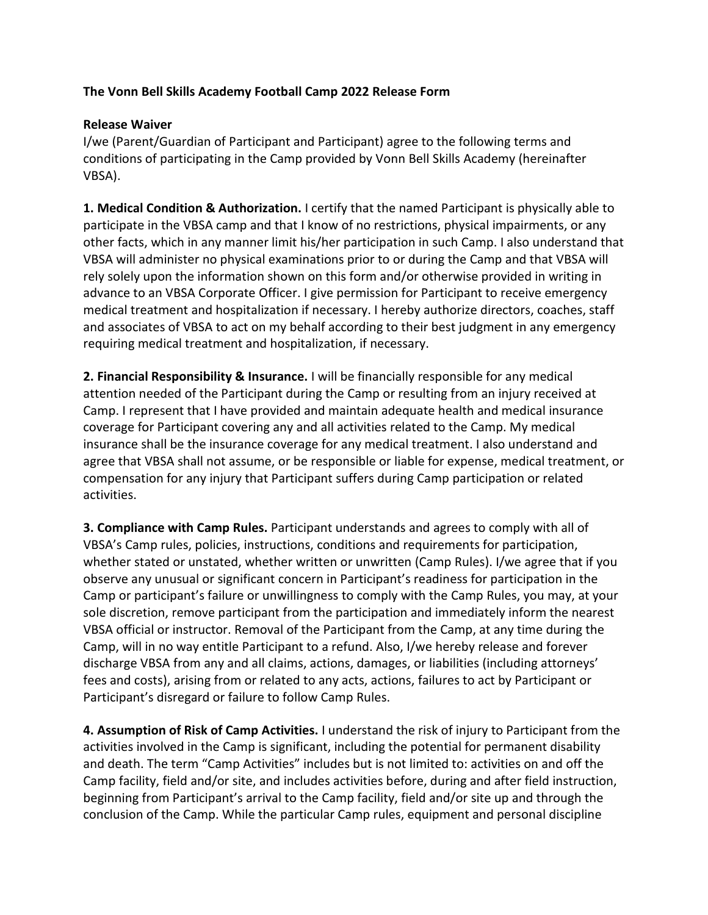## **The Vonn Bell Skills Academy Football Camp 2022 Release Form**

## **Release Waiver**

I/we (Parent/Guardian of Participant and Participant) agree to the following terms and conditions of participating in the Camp provided by Vonn Bell Skills Academy (hereinafter VBSA).

**1. Medical Condition & Authorization.** I certify that the named Participant is physically able to participate in the VBSA camp and that I know of no restrictions, physical impairments, or any other facts, which in any manner limit his/her participation in such Camp. I also understand that VBSA will administer no physical examinations prior to or during the Camp and that VBSA will rely solely upon the information shown on this form and/or otherwise provided in writing in advance to an VBSA Corporate Officer. I give permission for Participant to receive emergency medical treatment and hospitalization if necessary. I hereby authorize directors, coaches, staff and associates of VBSA to act on my behalf according to their best judgment in any emergency requiring medical treatment and hospitalization, if necessary.

**2. Financial Responsibility & Insurance.** I will be financially responsible for any medical attention needed of the Participant during the Camp or resulting from an injury received at Camp. I represent that I have provided and maintain adequate health and medical insurance coverage for Participant covering any and all activities related to the Camp. My medical insurance shall be the insurance coverage for any medical treatment. I also understand and agree that VBSA shall not assume, or be responsible or liable for expense, medical treatment, or compensation for any injury that Participant suffers during Camp participation or related activities.

**3. Compliance with Camp Rules.** Participant understands and agrees to comply with all of VBSA's Camp rules, policies, instructions, conditions and requirements for participation, whether stated or unstated, whether written or unwritten (Camp Rules). I/we agree that if you observe any unusual or significant concern in Participant's readiness for participation in the Camp or participant's failure or unwillingness to comply with the Camp Rules, you may, at your sole discretion, remove participant from the participation and immediately inform the nearest VBSA official or instructor. Removal of the Participant from the Camp, at any time during the Camp, will in no way entitle Participant to a refund. Also, I/we hereby release and forever discharge VBSA from any and all claims, actions, damages, or liabilities (including attorneys' fees and costs), arising from or related to any acts, actions, failures to act by Participant or Participant's disregard or failure to follow Camp Rules.

**4. Assumption of Risk of Camp Activities.** I understand the risk of injury to Participant from the activities involved in the Camp is significant, including the potential for permanent disability and death. The term "Camp Activities" includes but is not limited to: activities on and off the Camp facility, field and/or site, and includes activities before, during and after field instruction, beginning from Participant's arrival to the Camp facility, field and/or site up and through the conclusion of the Camp. While the particular Camp rules, equipment and personal discipline